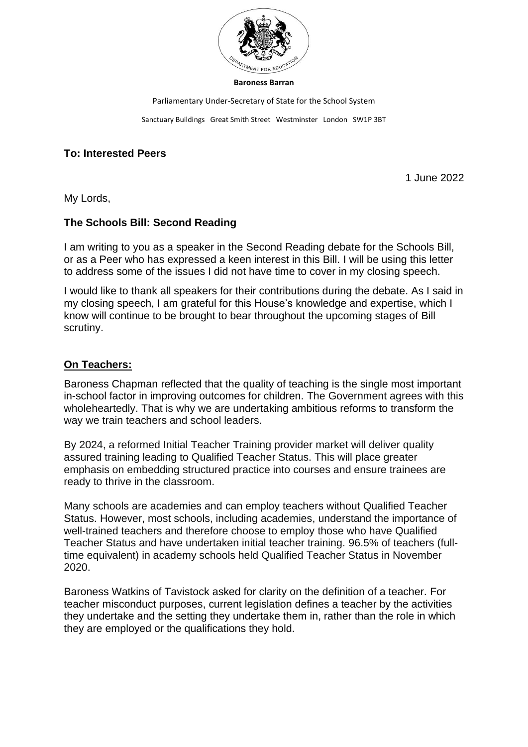

#### **Baroness Barran**

Parliamentary Under-Secretary of State for the School System

Sanctuary Buildings Great Smith Street Westminster London SW1P 3BT

## **To: Interested Peers**

1 June 2022

My Lords,

## **The Schools Bill: Second Reading**

I am writing to you as a speaker in the Second Reading debate for the Schools Bill, or as a Peer who has expressed a keen interest in this Bill. I will be using this letter to address some of the issues I did not have time to cover in my closing speech.

I would like to thank all speakers for their contributions during the debate. As I said in my closing speech, I am grateful for this House's knowledge and expertise, which I know will continue to be brought to bear throughout the upcoming stages of Bill scrutiny.

#### **On Teachers:**

Baroness Chapman reflected that the quality of teaching is the single most important in-school factor in improving outcomes for children. The Government agrees with this wholeheartedly. That is why we are undertaking ambitious reforms to transform the way we train teachers and school leaders.

By 2024, a reformed Initial Teacher Training provider market will deliver quality assured training leading to Qualified Teacher Status. This will place greater emphasis on embedding structured practice into courses and ensure trainees are ready to thrive in the classroom.

Many schools are academies and can employ teachers without Qualified Teacher Status. However, most schools, including academies, understand the importance of well-trained teachers and therefore choose to employ those who have Qualified Teacher Status and have undertaken initial teacher training. 96.5% of teachers (fulltime equivalent) in academy schools held Qualified Teacher Status in November 2020.

Baroness Watkins of Tavistock asked for clarity on the definition of a teacher. For teacher misconduct purposes, current legislation defines a teacher by the activities they undertake and the setting they undertake them in, rather than the role in which they are employed or the qualifications they hold.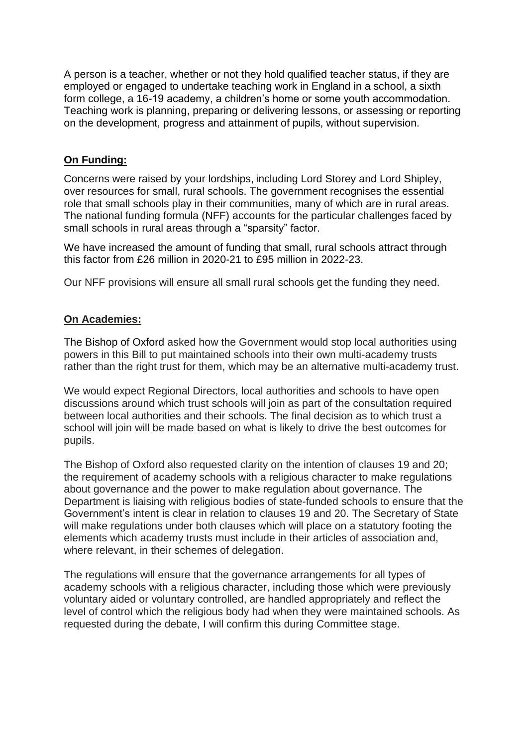A person is a teacher, whether or not they hold qualified teacher status, if they are employed or engaged to undertake teaching work in England in a school, a sixth form college, a 16-19 academy, a children's home or some youth accommodation. Teaching work is planning, preparing or delivering lessons, or assessing or reporting on the development, progress and attainment of pupils, without supervision.

# **On Funding:**

Concerns were raised by your lordships, including Lord Storey and Lord Shipley, over resources for small, rural schools. The government recognises the essential role that small schools play in their communities, many of which are in rural areas. The national funding formula (NFF) accounts for the particular challenges faced by small schools in rural areas through a "sparsity" factor.

We have increased the amount of funding that small, rural schools attract through this factor from £26 million in 2020-21 to £95 million in 2022-23.

Our NFF provisions will ensure all small rural schools get the funding they need.

# **On Academies:**

The Bishop of Oxford asked how the Government would stop local authorities using powers in this Bill to put maintained schools into their own multi-academy trusts rather than the right trust for them, which may be an alternative multi-academy trust.

We would expect Regional Directors, local authorities and schools to have open discussions around which trust schools will join as part of the consultation required between local authorities and their schools. The final decision as to which trust a school will join will be made based on what is likely to drive the best outcomes for pupils.

The Bishop of Oxford also requested clarity on the intention of clauses 19 and 20; the requirement of academy schools with a religious character to make regulations about governance and the power to make regulation about governance. The Department is liaising with religious bodies of state-funded schools to ensure that the Government's intent is clear in relation to clauses 19 and 20. The Secretary of State will make regulations under both clauses which will place on a statutory footing the elements which academy trusts must include in their articles of association and, where relevant, in their schemes of delegation.

The regulations will ensure that the governance arrangements for all types of academy schools with a religious character, including those which were previously voluntary aided or voluntary controlled, are handled appropriately and reflect the level of control which the religious body had when they were maintained schools. As requested during the debate, I will confirm this during Committee stage.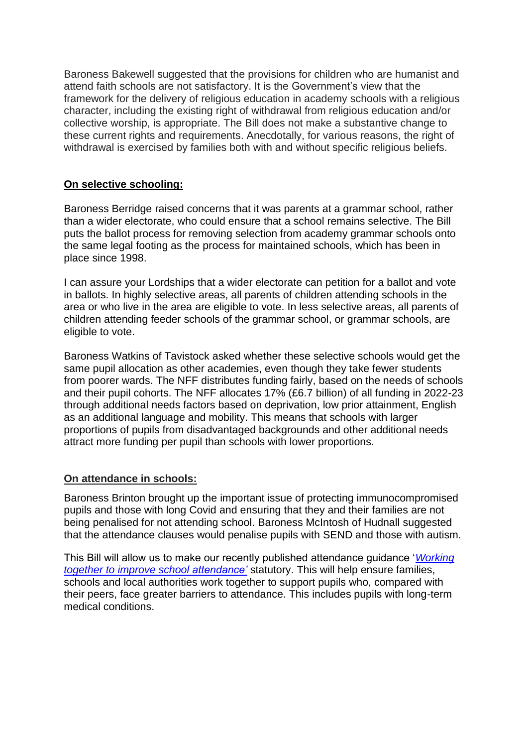Baroness Bakewell suggested that the provisions for children who are humanist and attend faith schools are not satisfactory. It is the Government's view that the framework for the delivery of religious education in academy schools with a religious character, including the existing right of withdrawal from religious education and/or collective worship, is appropriate. The Bill does not make a substantive change to these current rights and requirements. Anecdotally, for various reasons, the right of withdrawal is exercised by families both with and without specific religious beliefs.

# **On selective schooling:**

Baroness Berridge raised concerns that it was parents at a grammar school, rather than a wider electorate, who could ensure that a school remains selective. The Bill puts the ballot process for removing selection from academy grammar schools onto the same legal footing as the process for maintained schools, which has been in place since 1998.

I can assure your Lordships that a wider electorate can petition for a ballot and vote in ballots. In highly selective areas, all parents of children attending schools in the area or who live in the area are eligible to vote. In less selective areas, all parents of children attending feeder schools of the grammar school, or grammar schools, are eligible to vote.

Baroness Watkins of Tavistock asked whether these selective schools would get the same pupil allocation as other academies, even though they take fewer students from poorer wards. The NFF distributes funding fairly, based on the needs of schools and their pupil cohorts. The NFF allocates 17% (£6.7 billion) of all funding in 2022-23 through additional needs factors based on deprivation, low prior attainment, English as an additional language and mobility. This means that schools with larger proportions of pupils from disadvantaged backgrounds and other additional needs attract more funding per pupil than schools with lower proportions.

# **On attendance in schools:**

Baroness Brinton brought up the important issue of protecting immunocompromised pupils and those with long Covid and ensuring that they and their families are not being penalised for not attending school. Baroness McIntosh of Hudnall suggested that the attendance clauses would penalise pupils with SEND and those with autism.

This Bill will allow us to make our recently published attendance guidance '*[Working](https://www.gov.uk/government/publications/working-together-to-improve-school-attendance)  [together to improve school attendance'](https://www.gov.uk/government/publications/working-together-to-improve-school-attendance)* statutory. This will help ensure families, schools and local authorities work together to support pupils who, compared with their peers, face greater barriers to attendance. This includes pupils with long-term medical conditions.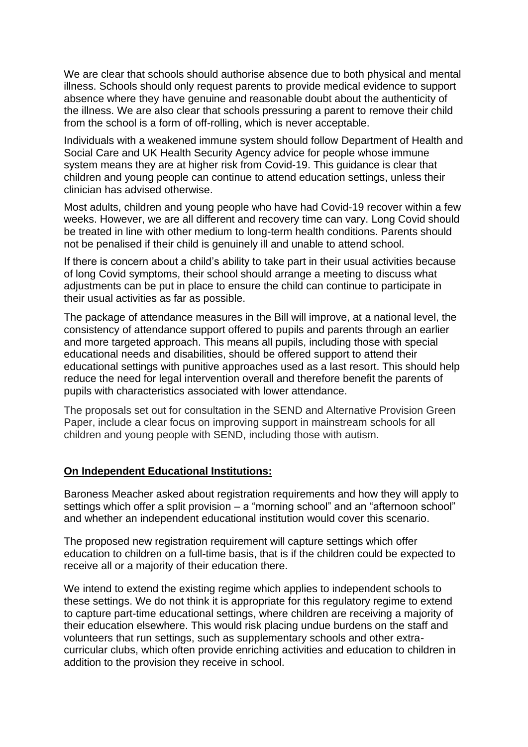We are clear that schools should authorise absence due to both physical and mental illness. Schools should only request parents to provide medical evidence to support absence where they have genuine and reasonable doubt about the authenticity of the illness. We are also clear that schools pressuring a parent to remove their child from the school is a form of off-rolling, which is never acceptable.

Individuals with a weakened immune system should follow Department of Health and Social Care and UK Health Security Agency [advice](https://www.gov.uk/government/publications/covid-19-guidance-for-people-whose-immune-system-means-they-are-at-higher-risk) for people whose immune system means they are at higher risk from Covid-19. This guidance is clear that children and young people can continue to attend education settings, unless their clinician has advised otherwise.

Most adults, children and young people who have had Covid-19 recover within a few weeks. However, we are all different and recovery time can vary. Long Covid should be treated in line with other medium to long-term health conditions. Parents should not be penalised if their child is genuinely ill and unable to attend school.

If there is concern about a child's ability to take part in their usual activities because of long Covid symptoms, their school should arrange a meeting to discuss what adjustments can be put in place to ensure the child can continue to participate in their usual activities as far as possible.

The package of attendance measures in the Bill will improve, at a national level, the consistency of attendance support offered to pupils and parents through an earlier and more targeted approach. This means all pupils, including those with special educational needs and disabilities, should be offered support to attend their educational settings with punitive approaches used as a last resort. This should help reduce the need for legal intervention overall and therefore benefit the parents of pupils with characteristics associated with lower attendance.

The proposals set out for consultation in the SEND and Alternative Provision Green Paper, include a clear focus on improving support in mainstream schools for all children and young people with SEND, including those with autism.

# **On Independent Educational Institutions:**

Baroness Meacher asked about registration requirements and how they will apply to settings which offer a split provision – a "morning school" and an "afternoon school" and whether an independent educational institution would cover this scenario.

The proposed new registration requirement will capture settings which offer education to children on a full-time basis, that is if the children could be expected to receive all or a majority of their education there.

We intend to extend the existing regime which applies to independent schools to these settings. We do not think it is appropriate for this regulatory regime to extend to capture part-time educational settings, where children are receiving a majority of their education elsewhere. This would risk placing undue burdens on the staff and volunteers that run settings, such as supplementary schools and other extracurricular clubs, which often provide enriching activities and education to children in addition to the provision they receive in school.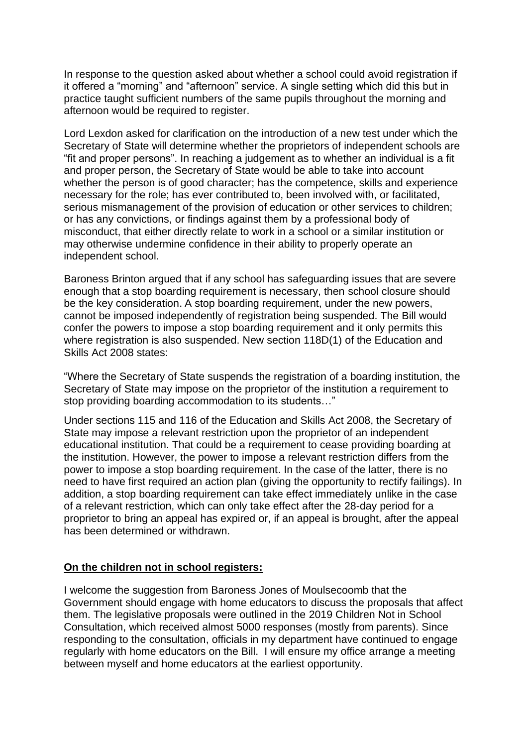In response to the question asked about whether a school could avoid registration if it offered a "morning" and "afternoon" service. A single setting which did this but in practice taught sufficient numbers of the same pupils throughout the morning and afternoon would be required to register.

Lord Lexdon asked for clarification on the introduction of a new test under which the Secretary of State will determine whether the proprietors of independent schools are "fit and proper persons". In reaching a judgement as to whether an individual is a fit and proper person, the Secretary of State would be able to take into account whether the person is of good character; has the competence, skills and experience necessary for the role; has ever contributed to, been involved with, or facilitated, serious mismanagement of the provision of education or other services to children; or has any convictions, or findings against them by a professional body of misconduct, that either directly relate to work in a school or a similar institution or may otherwise undermine confidence in their ability to properly operate an independent school.

Baroness Brinton argued that if any school has safeguarding issues that are severe enough that a stop boarding requirement is necessary, then school closure should be the key consideration. A stop boarding requirement, under the new powers, cannot be imposed independently of registration being suspended. The Bill would confer the powers to impose a stop boarding requirement and it only permits this where registration is also suspended. New section 118D(1) of the Education and Skills Act 2008 states:

"Where the Secretary of State suspends the registration of a boarding institution, the Secretary of State may impose on the proprietor of the institution a requirement to stop providing boarding accommodation to its students…"

Under sections 115 and 116 of the Education and Skills Act 2008, the Secretary of State may impose a relevant restriction upon the proprietor of an independent educational institution. That could be a requirement to cease providing boarding at the institution. However, the power to impose a relevant restriction differs from the power to impose a stop boarding requirement. In the case of the latter, there is no need to have first required an action plan (giving the opportunity to rectify failings). In addition, a stop boarding requirement can take effect immediately unlike in the case of a relevant restriction, which can only take effect after the 28-day period for a proprietor to bring an appeal has expired or, if an appeal is brought, after the appeal has been determined or withdrawn.

# **On the children not in school registers:**

I welcome the suggestion from Baroness Jones of Moulsecoomb that the Government should engage with home educators to discuss the proposals that affect them. The legislative proposals were outlined in the 2019 Children Not in School Consultation, which received almost 5000 responses (mostly from parents). Since responding to the consultation, officials in my department have continued to engage regularly with home educators on the Bill. I will ensure my office arrange a meeting between myself and home educators at the earliest opportunity.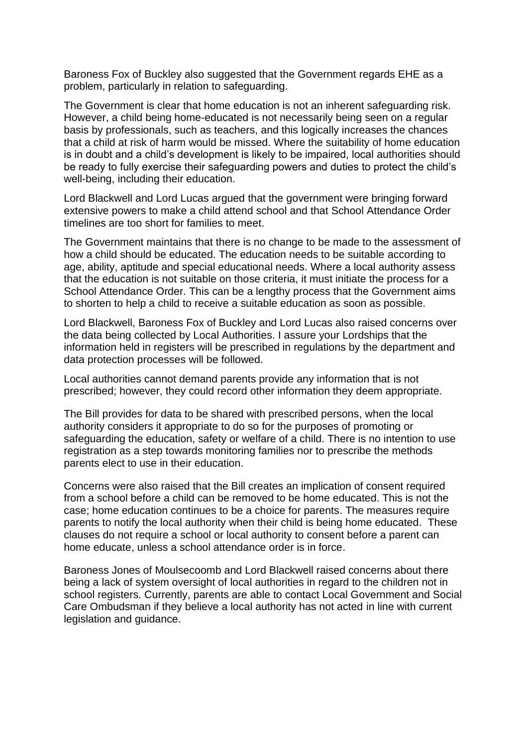Baroness Fox of Buckley also suggested that the Government regards EHE as a problem, particularly in relation to safeguarding.

The Government is clear that home education is not an inherent safeguarding risk. However, a child being home-educated is not necessarily being seen on a regular basis by professionals, such as teachers, and this logically increases the chances that a child at risk of harm would be missed. Where the suitability of home education is in doubt and a child's development is likely to be impaired, local authorities should be ready to fully exercise their safeguarding powers and duties to protect the child's well-being, including their education.

Lord Blackwell and Lord Lucas argued that the government were bringing forward extensive powers to make a child attend school and that School Attendance Order timelines are too short for families to meet.

The Government maintains that there is no change to be made to the assessment of how a child should be educated. The education needs to be suitable according to age, ability, aptitude and special educational needs. Where a local authority assess that the education is not suitable on those criteria, it must initiate the process for a School Attendance Order. This can be a lengthy process that the Government aims to shorten to help a child to receive a suitable education as soon as possible.

Lord Blackwell, Baroness Fox of Buckley and Lord Lucas also raised concerns over the data being collected by Local Authorities. I assure your Lordships that the information held in registers will be prescribed in regulations by the department and data protection processes will be followed.

Local authorities cannot demand parents provide any information that is not prescribed; however, they could record other information they deem appropriate.

The Bill provides for data to be shared with prescribed persons, when the local authority considers it appropriate to do so for the purposes of promoting or safeguarding the education, safety or welfare of a child. There is no intention to use registration as a step towards monitoring families nor to prescribe the methods parents elect to use in their education.

Concerns were also raised that the Bill creates an implication of consent required from a school before a child can be removed to be home educated. This is not the case; home education continues to be a choice for parents. The measures require parents to notify the local authority when their child is being home educated. These clauses do not require a school or local authority to consent before a parent can home educate, unless a school attendance order is in force.

Baroness Jones of Moulsecoomb and Lord Blackwell raised concerns about there being a lack of system oversight of local authorities in regard to the children not in school registers. Currently, parents are able to contact Local Government and Social Care Ombudsman if they believe a local authority has not acted in line with current legislation and guidance.